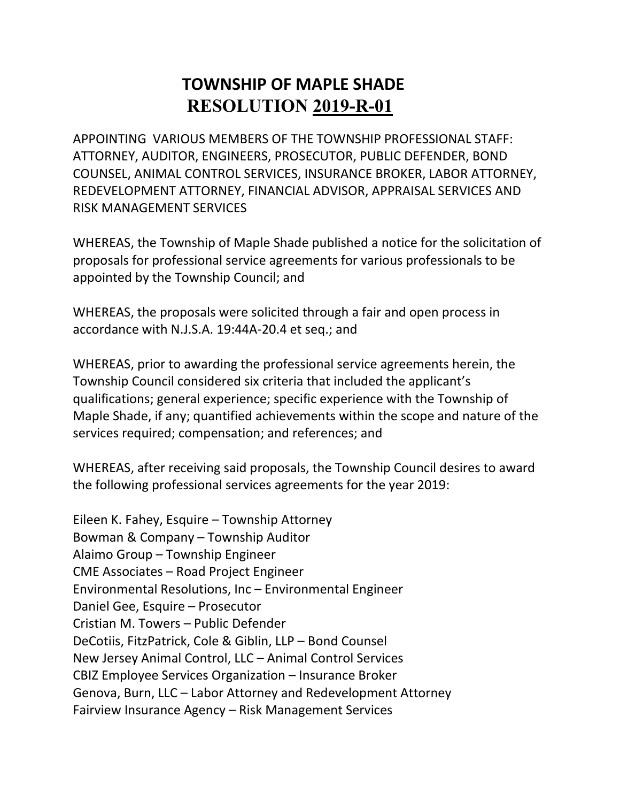APPOINTING VARIOUS MEMBERS OF THE TOWNSHIP PROFESSIONAL STAFF: ATTORNEY, AUDITOR, ENGINEERS, PROSECUTOR, PUBLIC DEFENDER, BOND COUNSEL, ANIMAL CONTROL SERVICES, INSURANCE BROKER, LABOR ATTORNEY, REDEVELOPMENT ATTORNEY, FINANCIAL ADVISOR, APPRAISAL SERVICES AND RISK MANAGEMENT SERVICES

WHEREAS, the Township of Maple Shade published a notice for the solicitation of proposals for professional service agreements for various professionals to be appointed by the Township Council; and

WHEREAS, the proposals were solicited through a fair and open process in accordance with N.J.S.A. 19:44A-20.4 et seq.; and

WHEREAS, prior to awarding the professional service agreements herein, the Township Council considered six criteria that included the applicant's qualifications; general experience; specific experience with the Township of Maple Shade, if any; quantified achievements within the scope and nature of the services required; compensation; and references; and

WHEREAS, after receiving said proposals, the Township Council desires to award the following professional services agreements for the year 2019:

Eileen K. Fahey, Esquire – Township Attorney Bowman & Company – Township Auditor Alaimo Group – Township Engineer CME Associates – Road Project Engineer Environmental Resolutions, Inc – Environmental Engineer Daniel Gee, Esquire – Prosecutor Cristian M. Towers – Public Defender DeCotiis, FitzPatrick, Cole & Giblin, LLP – Bond Counsel New Jersey Animal Control, LLC – Animal Control Services CBIZ Employee Services Organization – Insurance Broker Genova, Burn, LLC – Labor Attorney and Redevelopment Attorney Fairview Insurance Agency – Risk Management Services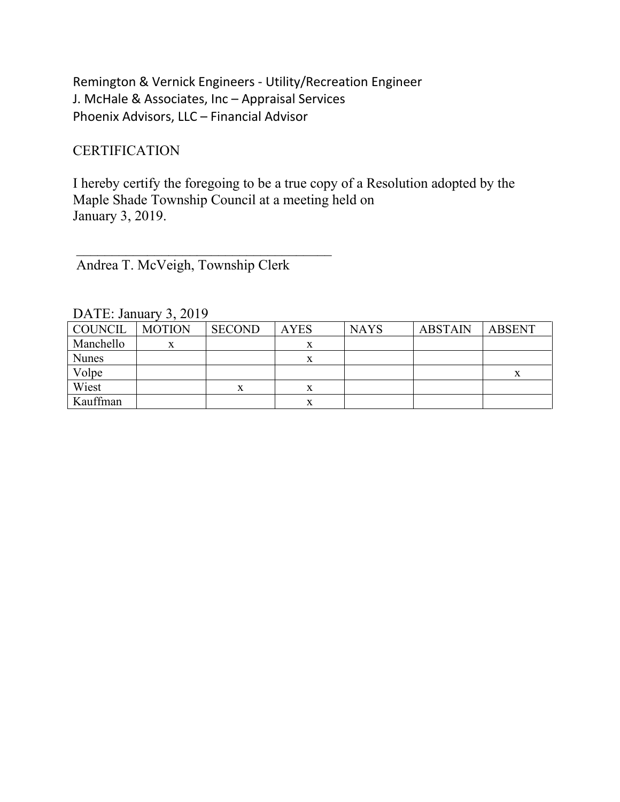Remington & Vernick Engineers - Utility/Recreation Engineer J. McHale & Associates, Inc – Appraisal Services Phoenix Advisors, LLC – Financial Advisor

### **CERTIFICATION**

I hereby certify the foregoing to be a true copy of a Resolution adopted by the Maple Shade Township Council at a meeting held on January 3, 2019.

Andrea T. McVeigh, Township Clerk

 $\overline{\phantom{a}}$  ,  $\overline{\phantom{a}}$  ,  $\overline{\phantom{a}}$  ,  $\overline{\phantom{a}}$  ,  $\overline{\phantom{a}}$  ,  $\overline{\phantom{a}}$  ,  $\overline{\phantom{a}}$  ,  $\overline{\phantom{a}}$  ,  $\overline{\phantom{a}}$  ,  $\overline{\phantom{a}}$  ,  $\overline{\phantom{a}}$  ,  $\overline{\phantom{a}}$  ,  $\overline{\phantom{a}}$  ,  $\overline{\phantom{a}}$  ,  $\overline{\phantom{a}}$  ,  $\overline{\phantom{a}}$ 

| COUNCIL      | <b>MOTION</b> | <b>SECOND</b> | <b>AYES</b> | <b>NAYS</b> | <b>ABSTAIN</b> | <b>ABSENT</b> |
|--------------|---------------|---------------|-------------|-------------|----------------|---------------|
| Manchello    |               |               | $\Lambda$   |             |                |               |
| <b>Nunes</b> |               |               |             |             |                |               |
| Volpe        |               |               |             |             |                |               |
| Wiest        |               | x             | $\Lambda$   |             |                |               |
| Kauffman     |               |               |             |             |                |               |

DATE: January 3, 2019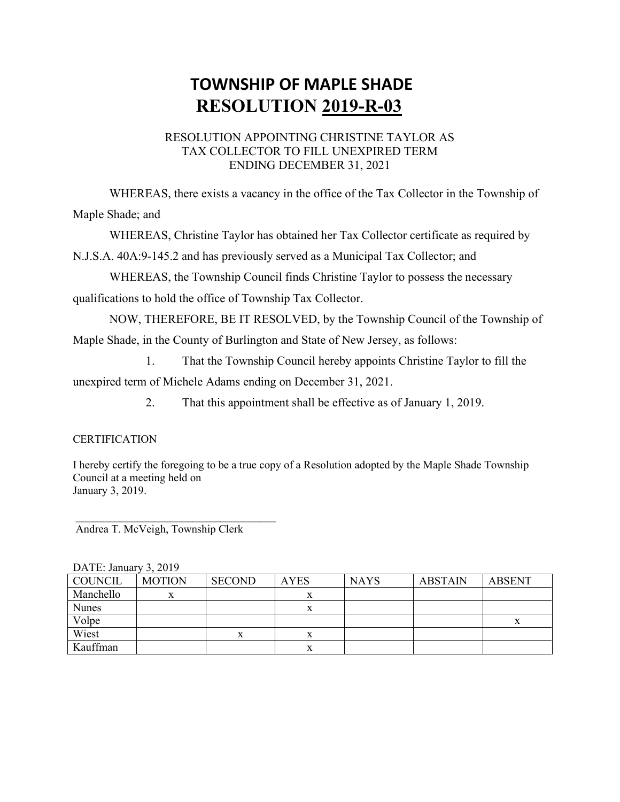#### RESOLUTION APPOINTING CHRISTINE TAYLOR AS TAX COLLECTOR TO FILL UNEXPIRED TERM ENDING DECEMBER 31, 2021

WHEREAS, there exists a vacancy in the office of the Tax Collector in the Township of Maple Shade; and

WHEREAS, Christine Taylor has obtained her Tax Collector certificate as required by

N.J.S.A. 40A:9-145.2 and has previously served as a Municipal Tax Collector; and

WHEREAS, the Township Council finds Christine Taylor to possess the necessary qualifications to hold the office of Township Tax Collector.

NOW, THEREFORE, BE IT RESOLVED, by the Township Council of the Township of Maple Shade, in the County of Burlington and State of New Jersey, as follows:

1. That the Township Council hereby appoints Christine Taylor to fill the unexpired term of Michele Adams ending on December 31, 2021.

2. That this appointment shall be effective as of January 1, 2019.

#### **CERTIFICATION**

I hereby certify the foregoing to be a true copy of a Resolution adopted by the Maple Shade Township Council at a meeting held on January 3, 2019.

Andrea T. McVeigh, Township Clerk

 $\mathcal{L}_\text{max}$  , and the set of the set of the set of the set of the set of the set of the set of the set of the set of the set of the set of the set of the set of the set of the set of the set of the set of the set of the

| $DATL$ . January J. $201J$ |               |                |             |             |                |               |
|----------------------------|---------------|----------------|-------------|-------------|----------------|---------------|
| COUNCIL                    | <b>MOTION</b> | <b>SECOND</b>  | <b>AYES</b> | <b>NAYS</b> | <b>ABSTAIN</b> | <b>ABSENT</b> |
| Manchello                  | x             |                |             |             |                |               |
| <b>Nunes</b>               |               |                |             |             |                |               |
| Volpe                      |               |                |             |             |                | л             |
| Wiest                      |               | v<br>$\Lambda$ |             |             |                |               |
| Kauffman                   |               |                |             |             |                |               |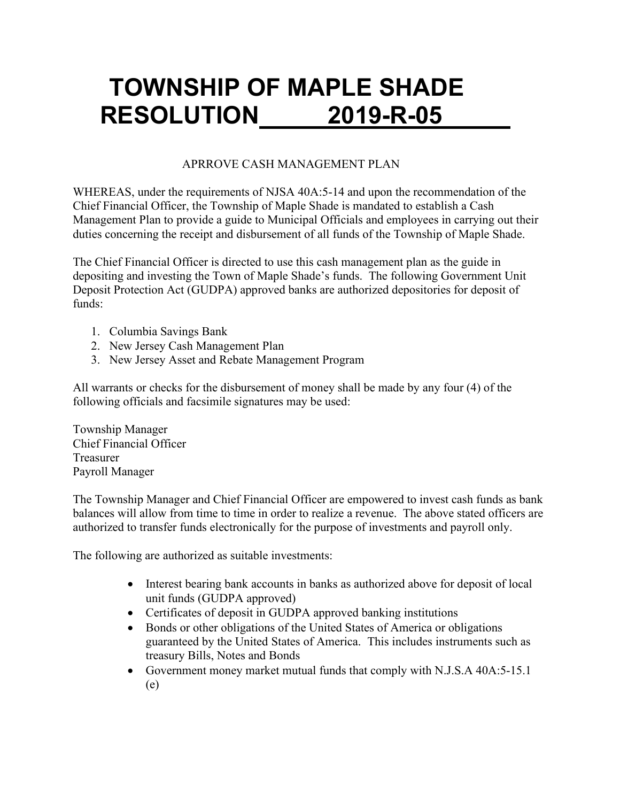### APRROVE CASH MANAGEMENT PLAN

WHEREAS, under the requirements of NJSA 40A:5-14 and upon the recommendation of the Chief Financial Officer, the Township of Maple Shade is mandated to establish a Cash Management Plan to provide a guide to Municipal Officials and employees in carrying out their duties concerning the receipt and disbursement of all funds of the Township of Maple Shade.

The Chief Financial Officer is directed to use this cash management plan as the guide in depositing and investing the Town of Maple Shade's funds. The following Government Unit Deposit Protection Act (GUDPA) approved banks are authorized depositories for deposit of funds:

- 1. Columbia Savings Bank
- 2. New Jersey Cash Management Plan
- 3. New Jersey Asset and Rebate Management Program

All warrants or checks for the disbursement of money shall be made by any four (4) of the following officials and facsimile signatures may be used:

Township Manager Chief Financial Officer Treasurer Payroll Manager

The Township Manager and Chief Financial Officer are empowered to invest cash funds as bank balances will allow from time to time in order to realize a revenue. The above stated officers are authorized to transfer funds electronically for the purpose of investments and payroll only.

The following are authorized as suitable investments:

- Interest bearing bank accounts in banks as authorized above for deposit of local unit funds (GUDPA approved)
- Certificates of deposit in GUDPA approved banking institutions
- Bonds or other obligations of the United States of America or obligations guaranteed by the United States of America. This includes instruments such as treasury Bills, Notes and Bonds
- Government money market mutual funds that comply with N.J.S.A 40A:5-15.1 (e)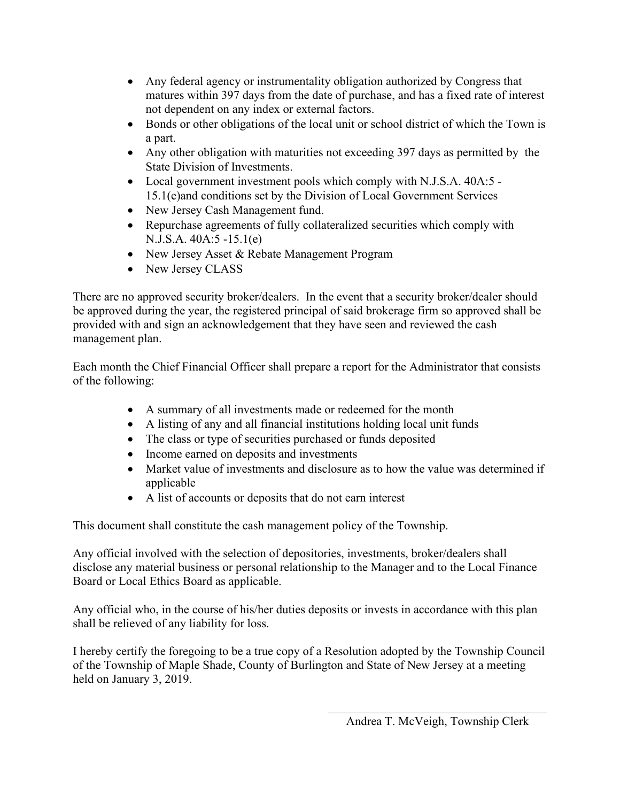- Any federal agency or instrumentality obligation authorized by Congress that matures within 397 days from the date of purchase, and has a fixed rate of interest not dependent on any index or external factors.
- Bonds or other obligations of the local unit or school district of which the Town is a part.
- Any other obligation with maturities not exceeding 397 days as permitted by the State Division of Investments.
- Local government investment pools which comply with N.J.S.A. 40A:5 -15.1(e)and conditions set by the Division of Local Government Services
- New Jersey Cash Management fund.
- Repurchase agreements of fully collateralized securities which comply with N.J.S.A. 40A:5 -15.1(e)
- New Jersey Asset & Rebate Management Program
- New Jersey CLASS

There are no approved security broker/dealers. In the event that a security broker/dealer should be approved during the year, the registered principal of said brokerage firm so approved shall be provided with and sign an acknowledgement that they have seen and reviewed the cash management plan.

Each month the Chief Financial Officer shall prepare a report for the Administrator that consists of the following:

- A summary of all investments made or redeemed for the month
- A listing of any and all financial institutions holding local unit funds
- The class or type of securities purchased or funds deposited
- Income earned on deposits and investments
- Market value of investments and disclosure as to how the value was determined if applicable
- A list of accounts or deposits that do not earn interest

This document shall constitute the cash management policy of the Township.

Any official involved with the selection of depositories, investments, broker/dealers shall disclose any material business or personal relationship to the Manager and to the Local Finance Board or Local Ethics Board as applicable.

Any official who, in the course of his/her duties deposits or invests in accordance with this plan shall be relieved of any liability for loss.

I hereby certify the foregoing to be a true copy of a Resolution adopted by the Township Council of the Township of Maple Shade, County of Burlington and State of New Jersey at a meeting held on January 3, 2019.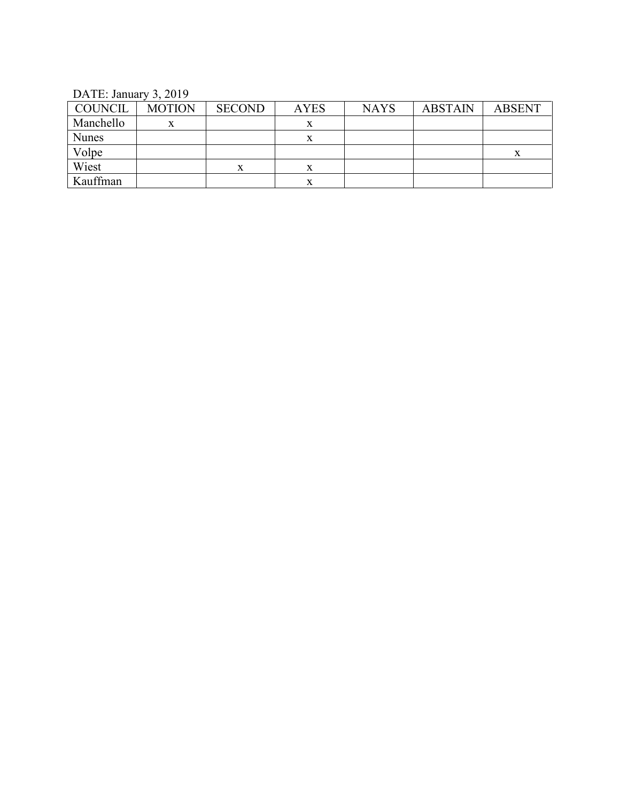DATE: January 3, 2019

| <b>COUNCIL</b> | <b>MOTION</b> | <b>SECOND</b> | <b>AYES</b> | <b>NAYS</b> | <b>ABSTAIN</b> | <b>ABSENT</b> |
|----------------|---------------|---------------|-------------|-------------|----------------|---------------|
| Manchello      | x             |               | л           |             |                |               |
| <b>Nunes</b>   |               |               | х           |             |                |               |
| Volpe          |               |               |             |             |                | л             |
| Wiest          |               |               | $\Lambda$   |             |                |               |
| Kauffman       |               |               | $\Lambda$   |             |                |               |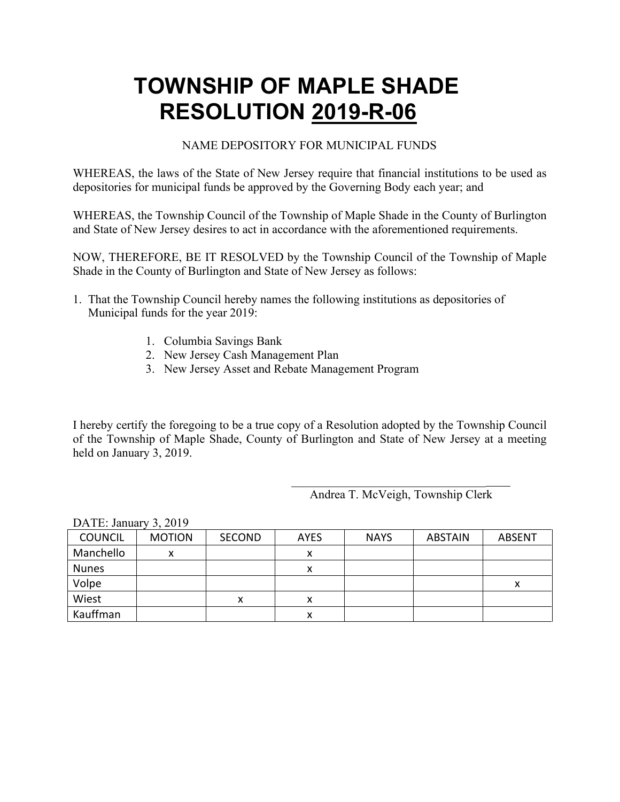#### NAME DEPOSITORY FOR MUNICIPAL FUNDS

WHEREAS, the laws of the State of New Jersey require that financial institutions to be used as depositories for municipal funds be approved by the Governing Body each year; and

WHEREAS, the Township Council of the Township of Maple Shade in the County of Burlington and State of New Jersey desires to act in accordance with the aforementioned requirements.

NOW, THEREFORE, BE IT RESOLVED by the Township Council of the Township of Maple Shade in the County of Burlington and State of New Jersey as follows:

- 1. That the Township Council hereby names the following institutions as depositories of Municipal funds for the year 2019:
	- 1. Columbia Savings Bank
	- 2. New Jersey Cash Management Plan
	- 3. New Jersey Asset and Rebate Management Program

I hereby certify the foregoing to be a true copy of a Resolution adopted by the Township Council of the Township of Maple Shade, County of Burlington and State of New Jersey at a meeting held on January 3, 2019.

Andrea T. McVeigh, Township Clerk

 $\mathcal{L}_\text{max}$  , which is a set of the set of the set of the set of the set of the set of the set of the set of the set of the set of the set of the set of the set of the set of the set of the set of the set of the set of

| <b>COUNCIL</b> | <b>MOTION</b> | <b>SECOND</b> | <b>AYES</b> | <b>NAYS</b> | <b>ABSTAIN</b> | <b>ABSENT</b> |
|----------------|---------------|---------------|-------------|-------------|----------------|---------------|
| Manchello      |               |               |             |             |                |               |
| <b>Nunes</b>   |               |               |             |             |                |               |
| Volpe          |               |               |             |             |                |               |
| Wiest          |               | х             |             |             |                |               |
| Kauffman       |               |               |             |             |                |               |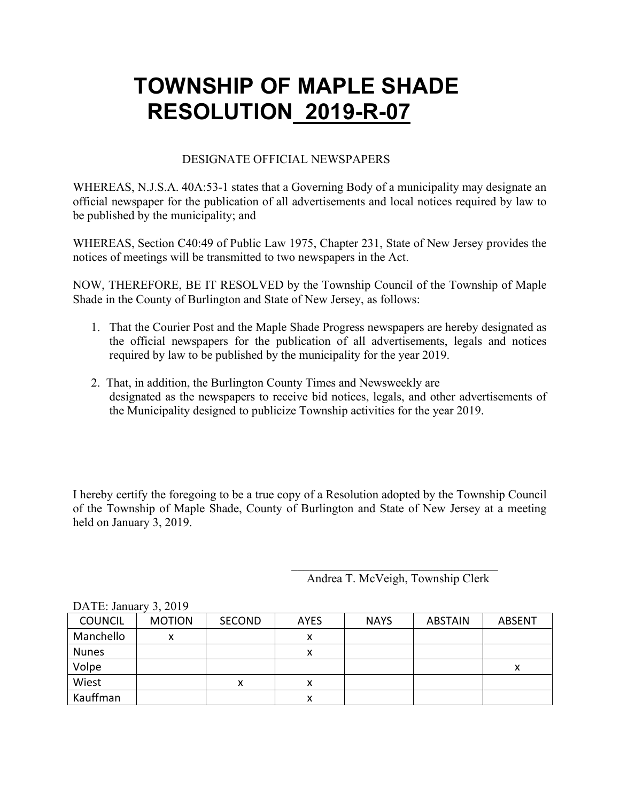#### DESIGNATE OFFICIAL NEWSPAPERS

WHEREAS, N.J.S.A. 40A:53-1 states that a Governing Body of a municipality may designate an official newspaper for the publication of all advertisements and local notices required by law to be published by the municipality; and

WHEREAS, Section C40:49 of Public Law 1975, Chapter 231, State of New Jersey provides the notices of meetings will be transmitted to two newspapers in the Act.

NOW, THEREFORE, BE IT RESOLVED by the Township Council of the Township of Maple Shade in the County of Burlington and State of New Jersey, as follows:

- 1. That the Courier Post and the Maple Shade Progress newspapers are hereby designated as the official newspapers for the publication of all advertisements, legals and notices required by law to be published by the municipality for the year 2019.
- 2. That, in addition, the Burlington County Times and Newsweekly are designated as the newspapers to receive bid notices, legals, and other advertisements of the Municipality designed to publicize Township activities for the year 2019.

I hereby certify the foregoing to be a true copy of a Resolution adopted by the Township Council of the Township of Maple Shade, County of Burlington and State of New Jersey at a meeting held on January 3, 2019.

Andrea T. McVeigh, Township Clerk

| <b>COUNCIL</b> | <b>MOTION</b> | <b>SECOND</b> | <b>AYES</b> | <b>NAYS</b> | <b>ABSTAIN</b> | <b>ABSENT</b> |
|----------------|---------------|---------------|-------------|-------------|----------------|---------------|
| Manchello      | Λ             |               | ́           |             |                |               |
| <b>Nunes</b>   |               |               | $\lambda$   |             |                |               |
| Volpe          |               |               |             |             |                | ᄉ             |
| Wiest          |               | x             | $\lambda$   |             |                |               |
| Kauffman       |               |               | x           |             |                |               |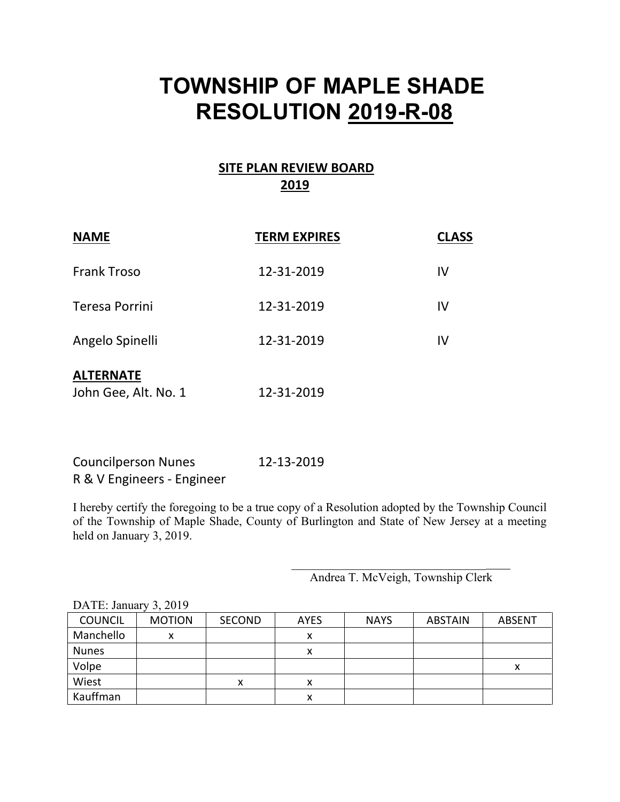### **SITE PLAN REVIEW BOARD 2019**

| <b>NAME</b>                              | <b>TERM EXPIRES</b> | <b>CLASS</b> |
|------------------------------------------|---------------------|--------------|
| <b>Frank Troso</b>                       | 12-31-2019          | IV           |
| Teresa Porrini                           | 12-31-2019          | IV           |
| Angelo Spinelli                          | 12-31-2019          | IV           |
| <b>ALTERNATE</b><br>John Gee, Alt. No. 1 | 12-31-2019          |              |

Councilperson Nunes 12-13-2019 R & V Engineers - Engineer

I hereby certify the foregoing to be a true copy of a Resolution adopted by the Township Council of the Township of Maple Shade, County of Burlington and State of New Jersey at a meeting held on January 3, 2019.

Andrea T. McVeigh, Township Clerk

 $\mathcal{L}_\text{max}$  , which is a set of the set of the set of the set of the set of the set of the set of the set of the set of the set of the set of the set of the set of the set of the set of the set of the set of the set of

| <b>COUNCIL</b> | <b>MOTION</b> | <b>SECOND</b> | <b>AYES</b> | <b>NAYS</b> | <b>ABSTAIN</b> | <b>ABSENT</b> |
|----------------|---------------|---------------|-------------|-------------|----------------|---------------|
| Manchello      | x             |               | х           |             |                |               |
| <b>Nunes</b>   |               |               | Λ           |             |                |               |
| Volpe          |               |               |             |             |                |               |
| Wiest          |               | x             | χ           |             |                |               |
| Kauffman       |               |               |             |             |                |               |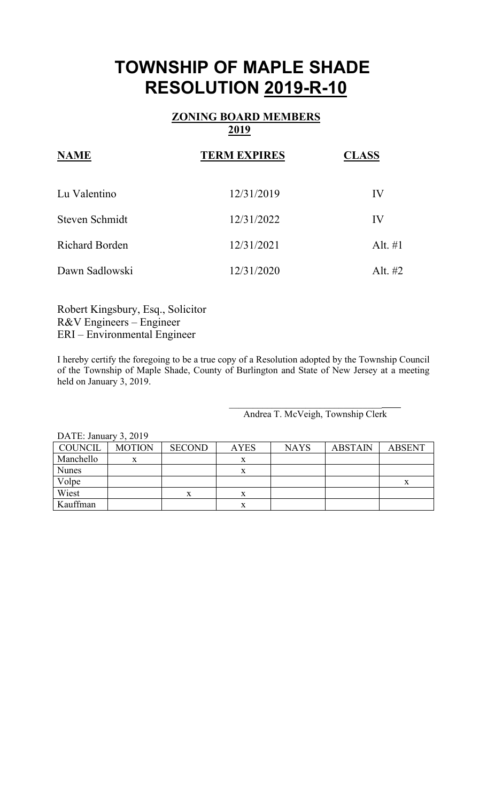### **ZONING BOARD MEMBERS 2019**

| <b>NAME</b>           | <b>TERM EXPIRES</b> | <b>CLASS</b> |
|-----------------------|---------------------|--------------|
| Lu Valentino          | 12/31/2019          | IV           |
| Steven Schmidt        | 12/31/2022          | IV           |
| <b>Richard Borden</b> | 12/31/2021          | Alt. $\#1$   |
| Dawn Sadlowski        | 12/31/2020          | Alt. $#2$    |

Robert Kingsbury, Esq., Solicitor R&V Engineers – Engineer ERI – Environmental Engineer

I hereby certify the foregoing to be a true copy of a Resolution adopted by the Township Council of the Township of Maple Shade, County of Burlington and State of New Jersey at a meeting held on January 3, 2019.

> $\mathcal{L}_\text{max}$  and  $\mathcal{L}_\text{max}$  and  $\mathcal{L}_\text{max}$  and  $\mathcal{L}_\text{max}$ Andrea T. McVeigh, Township Clerk

| COUNCIL      | <b>MOTION</b> | <b>SECOND</b> | <b>AYES</b> | <b>NAYS</b> | <b>ABSTAIN</b> | <b>ABSENT</b> |
|--------------|---------------|---------------|-------------|-------------|----------------|---------------|
| Manchello    |               |               |             |             |                |               |
| <b>Nunes</b> |               |               |             |             |                |               |
| Volpe        |               |               |             |             |                |               |
| Wiest        |               | x             |             |             |                |               |
| Kauffman     |               |               |             |             |                |               |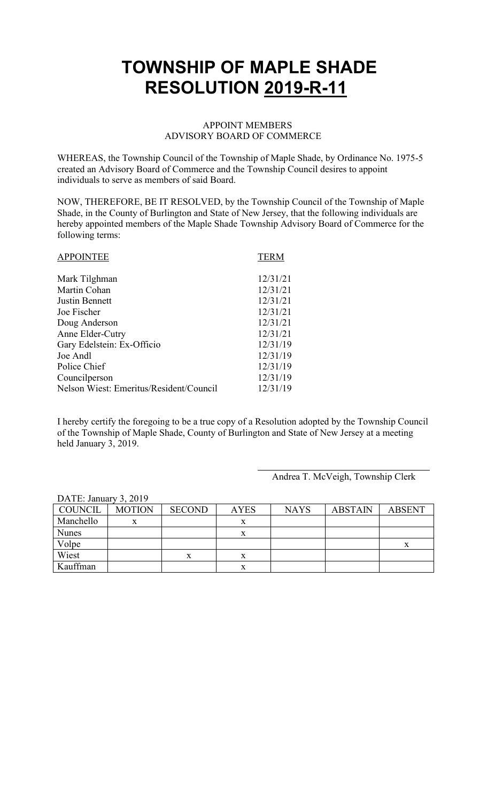### APPOINT MEMBERS ADVISORY BOARD OF COMMERCE

WHEREAS, the Township Council of the Township of Maple Shade, by Ordinance No. 1975-5 created an Advisory Board of Commerce and the Township Council desires to appoint individuals to serve as members of said Board.

NOW, THEREFORE, BE IT RESOLVED, by the Township Council of the Township of Maple Shade, in the County of Burlington and State of New Jersey, that the following individuals are hereby appointed members of the Maple Shade Township Advisory Board of Commerce for the following terms:

| <b>TERM</b> |
|-------------|
| 12/31/21    |
| 12/31/21    |
| 12/31/21    |
| 12/31/21    |
| 12/31/21    |
| 12/31/21    |
| 12/31/19    |
| 12/31/19    |
| 12/31/19    |
| 12/31/19    |
| 12/31/19    |
|             |

I hereby certify the foregoing to be a true copy of a Resolution adopted by the Township Council of the Township of Maple Shade, County of Burlington and State of New Jersey at a meeting held January 3, 2019.

Andrea T. McVeigh, Township Clerk

| DATE: January 3, 2019 |               |               |             |             |                |               |
|-----------------------|---------------|---------------|-------------|-------------|----------------|---------------|
| COUNCIL               | <b>MOTION</b> | <b>SECOND</b> | <b>AYES</b> | <b>NAYS</b> | <b>ABSTAIN</b> | <b>ABSENT</b> |
| Manchello             | X             |               |             |             |                |               |
| <b>Nunes</b>          |               |               | х           |             |                |               |
| Volpe                 |               |               |             |             |                |               |
| Wiest                 |               | X             |             |             |                |               |
| Kauffman              |               |               | л           |             |                |               |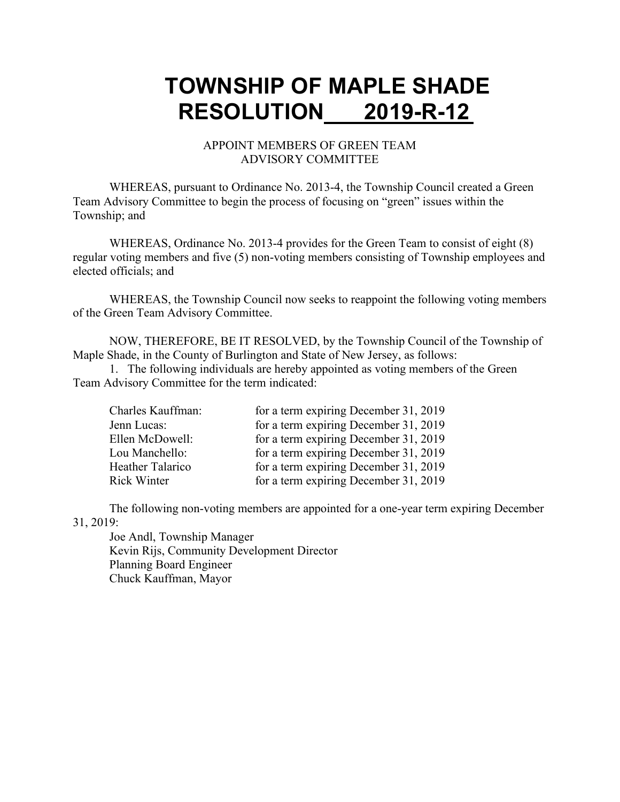#### APPOINT MEMBERS OF GREEN TEAM ADVISORY COMMITTEE

WHEREAS, pursuant to Ordinance No. 2013-4, the Township Council created a Green Team Advisory Committee to begin the process of focusing on "green" issues within the Township; and

WHEREAS, Ordinance No. 2013-4 provides for the Green Team to consist of eight (8) regular voting members and five (5) non-voting members consisting of Township employees and elected officials; and

WHEREAS, the Township Council now seeks to reappoint the following voting members of the Green Team Advisory Committee.

NOW, THEREFORE, BE IT RESOLVED, by the Township Council of the Township of Maple Shade, in the County of Burlington and State of New Jersey, as follows:

1. The following individuals are hereby appointed as voting members of the Green Team Advisory Committee for the term indicated:

| Charles Kauffman:  | for a term expiring December 31, 2019 |
|--------------------|---------------------------------------|
| Jenn Lucas:        | for a term expiring December 31, 2019 |
| Ellen McDowell:    | for a term expiring December 31, 2019 |
| Lou Manchello:     | for a term expiring December 31, 2019 |
| Heather Talarico   | for a term expiring December 31, 2019 |
| <b>Rick Winter</b> | for a term expiring December 31, 2019 |

The following non-voting members are appointed for a one-year term expiring December 31, 2019:

Joe Andl, Township Manager Kevin Rijs, Community Development Director Planning Board Engineer Chuck Kauffman, Mayor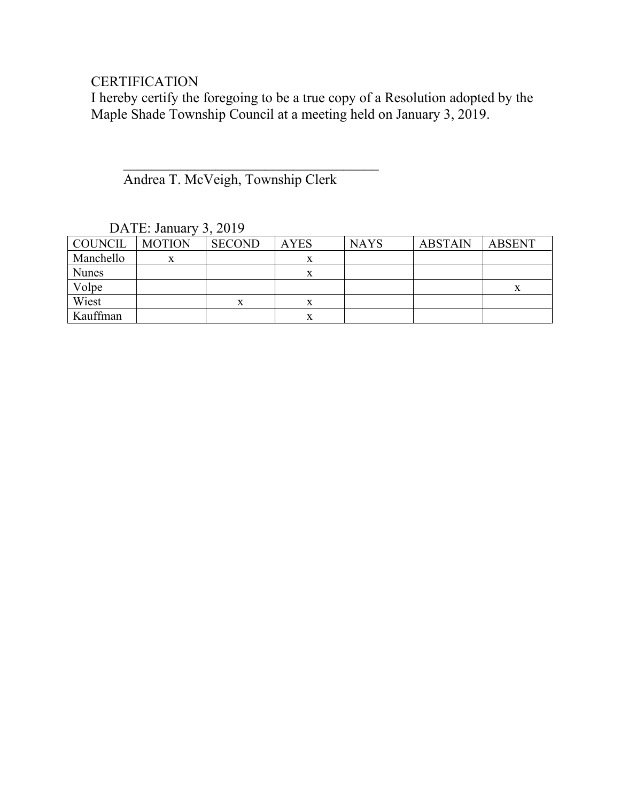### **CERTIFICATION**

I hereby certify the foregoing to be a true copy of a Resolution adopted by the Maple Shade Township Council at a meeting held on January 3, 2019.

Andrea T. McVeigh, Township Clerk

 $\overline{\phantom{a}}$ 

| $D$ $\mathbf{1}$ $\mathbf{1}$ $\mathbf{1}$ $\mathbf{0}$ will will $\mathbf{v}$<br>$J$ , $\omega$ $J$ |               |               |             |             |                |               |
|------------------------------------------------------------------------------------------------------|---------------|---------------|-------------|-------------|----------------|---------------|
| COUNCIL                                                                                              | <b>MOTION</b> | <b>SECOND</b> | <b>AYES</b> | <b>NAYS</b> | <b>ABSTAIN</b> | <b>ABSENT</b> |
| Manchello                                                                                            |               |               |             |             |                |               |
| <b>Nunes</b>                                                                                         |               |               | x           |             |                |               |
| Volpe                                                                                                |               |               |             |             |                |               |
| Wiest                                                                                                |               | A             | A           |             |                |               |
| Kauffman                                                                                             |               |               |             |             |                |               |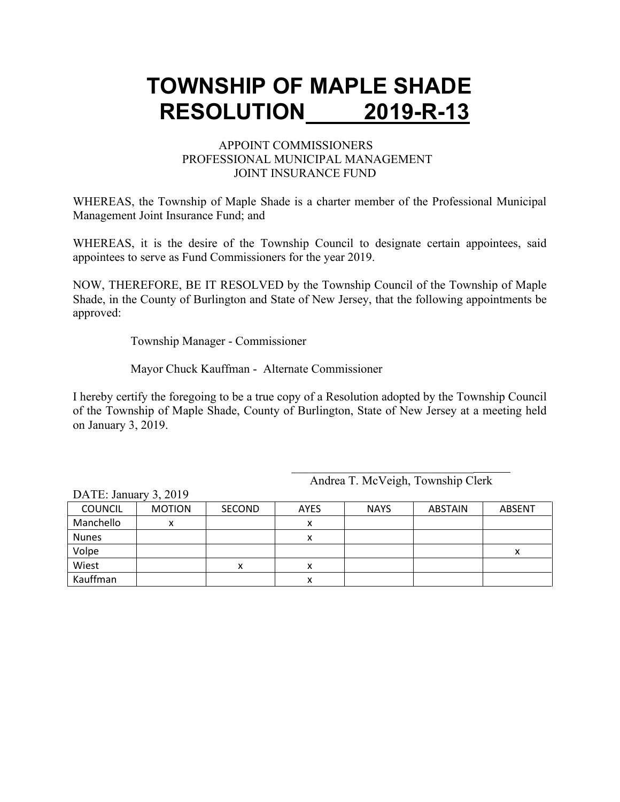#### APPOINT COMMISSIONERS PROFESSIONAL MUNICIPAL MANAGEMENT JOINT INSURANCE FUND

WHEREAS, the Township of Maple Shade is a charter member of the Professional Municipal Management Joint Insurance Fund; and

WHEREAS, it is the desire of the Township Council to designate certain appointees, said appointees to serve as Fund Commissioners for the year 2019.

NOW, THEREFORE, BE IT RESOLVED by the Township Council of the Township of Maple Shade, in the County of Burlington and State of New Jersey, that the following appointments be approved:

Township Manager - Commissioner

Mayor Chuck Kauffman - Alternate Commissioner

I hereby certify the foregoing to be a true copy of a Resolution adopted by the Township Council of the Township of Maple Shade, County of Burlington, State of New Jersey at a meeting held on January 3, 2019.

| $LMLL$ . Jailual $y_1$ , $LUI$ |               |               |             |             |                |               |
|--------------------------------|---------------|---------------|-------------|-------------|----------------|---------------|
| <b>COUNCIL</b>                 | <b>MOTION</b> | <b>SECOND</b> | <b>AYES</b> | <b>NAYS</b> | <b>ABSTAIN</b> | <b>ABSENT</b> |
| Manchello                      |               |               |             |             |                |               |
| <b>Nunes</b>                   |               |               |             |             |                |               |
| Volpe                          |               |               |             |             |                | х             |
| Wiest                          |               | x             | ́           |             |                |               |
| Kauffman                       |               |               |             |             |                |               |

Andrea T. McVeigh, Township Clerk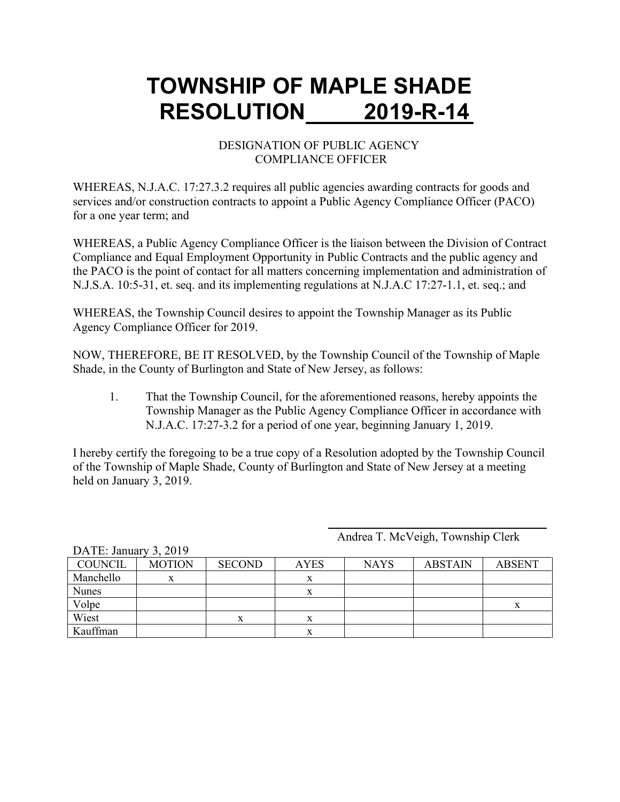#### DESIGNATION OF PUBLIC AGENCY COMPLIANCE OFFICER

WHEREAS, N.J.A.C. 17:27.3.2 requires all public agencies awarding contracts for goods and services and/or construction contracts to appoint a Public Agency Compliance Officer (PACO) for a one year term; and

WHEREAS, a Public Agency Compliance Officer is the liaison between the Division of Contract Compliance and Equal Employment Opportunity in Public Contracts and the public agency and the PACO is the point of contact for all matters concerning implementation and administration of N.J.S.A. 10:5-31, et. seq. and its implementing regulations at N.J.A.C 17:27-1.1, et. seq.; and

WHEREAS, the Township Council desires to appoint the Township Manager as its Public Agency Compliance Officer for 2019.

NOW, THEREFORE, BE IT RESOLVED, by the Township Council of the Township of Maple Shade, in the County of Burlington and State of New Jersey, as follows:

1. That the Township Council, for the aforementioned reasons, hereby appoints the Township Manager as the Public Agency Compliance Officer in accordance with N.J.A.C. 17:27-3.2 for a period of one year, beginning January 1, 2019.

I hereby certify the foregoing to be a true copy of a Resolution adopted by the Township Council of the Township of Maple Shade, County of Burlington and State of New Jersey at a meeting held on January 3, 2019.

Andrea T. McVeigh, Township Clerk

| <b>MOTION</b> | <b>SECOND</b> | <b>AYES</b> | <b>NAYS</b> | <b>ABSTAIN</b> | <b>ABSENT</b> |
|---------------|---------------|-------------|-------------|----------------|---------------|
|               |               |             |             |                |               |
|               |               |             |             |                |               |
|               |               |             |             |                | ́             |
|               | л             | л           |             |                |               |
|               |               | л           |             |                |               |
|               |               |             |             |                |               |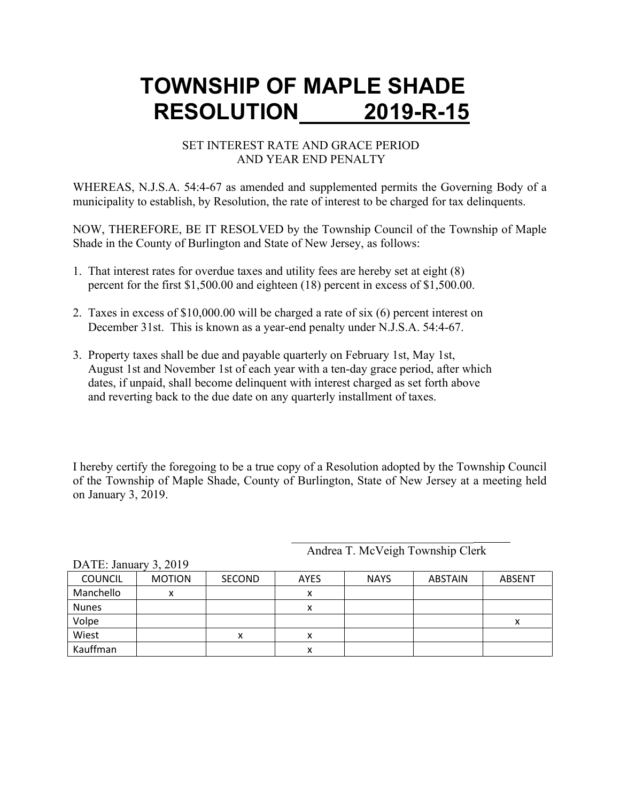#### SET INTEREST RATE AND GRACE PERIOD AND YEAR END PENALTY

WHEREAS, N.J.S.A. 54:4-67 as amended and supplemented permits the Governing Body of a municipality to establish, by Resolution, the rate of interest to be charged for tax delinquents.

NOW, THEREFORE, BE IT RESOLVED by the Township Council of the Township of Maple Shade in the County of Burlington and State of New Jersey, as follows:

- 1. That interest rates for overdue taxes and utility fees are hereby set at eight (8) percent for the first \$1,500.00 and eighteen (18) percent in excess of \$1,500.00.
- 2. Taxes in excess of \$10,000.00 will be charged a rate of six (6) percent interest on December 31st. This is known as a year-end penalty under N.J.S.A. 54:4-67.
- 3. Property taxes shall be due and payable quarterly on February 1st, May 1st, August 1st and November 1st of each year with a ten-day grace period, after which dates, if unpaid, shall become delinquent with interest charged as set forth above and reverting back to the due date on any quarterly installment of taxes.

I hereby certify the foregoing to be a true copy of a Resolution adopted by the Township Council of the Township of Maple Shade, County of Burlington, State of New Jersey at a meeting held on January 3, 2019.

Andrea T. McVeigh Township Clerk

|                | 1.111<br>----- |               |             |             |                |               |  |
|----------------|----------------|---------------|-------------|-------------|----------------|---------------|--|
| <b>COUNCIL</b> | <b>MOTION</b>  | <b>SECOND</b> | <b>AYES</b> | <b>NAYS</b> | <b>ABSTAIN</b> | <b>ABSENT</b> |  |
| Manchello      | v<br>Λ         |               |             |             |                |               |  |
| <b>Nunes</b>   |                |               |             |             |                |               |  |
| Volpe          |                |               |             |             |                |               |  |
| Wiest          |                | х             |             |             |                |               |  |
| Kauffman       |                |               |             |             |                |               |  |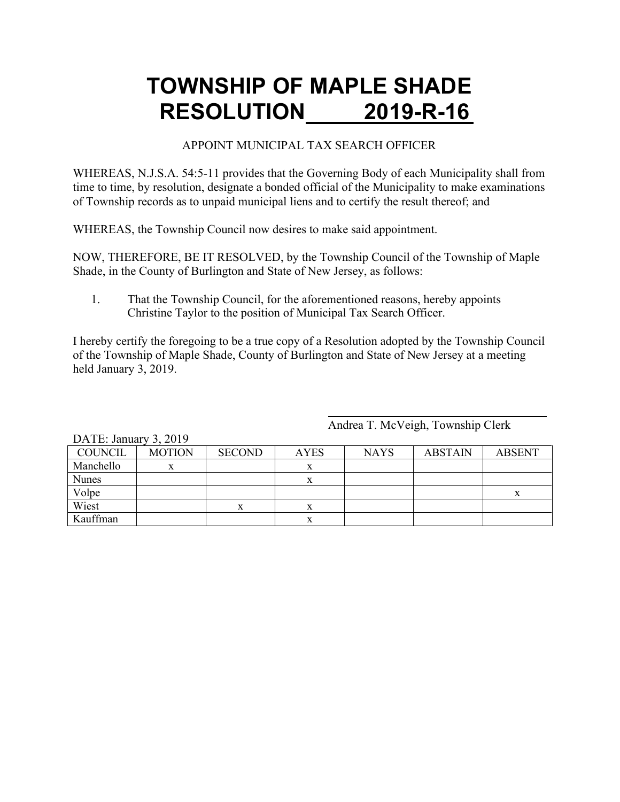#### APPOINT MUNICIPAL TAX SEARCH OFFICER

WHEREAS, N.J.S.A. 54:5-11 provides that the Governing Body of each Municipality shall from time to time, by resolution, designate a bonded official of the Municipality to make examinations of Township records as to unpaid municipal liens and to certify the result thereof; and

WHEREAS, the Township Council now desires to make said appointment.

NOW, THEREFORE, BE IT RESOLVED, by the Township Council of the Township of Maple Shade, in the County of Burlington and State of New Jersey, as follows:

1. That the Township Council, for the aforementioned reasons, hereby appoints Christine Taylor to the position of Municipal Tax Search Officer.

I hereby certify the foregoing to be a true copy of a Resolution adopted by the Township Council of the Township of Maple Shade, County of Burlington and State of New Jersey at a meeting held January 3, 2019.

| DATE: January 3, 2019 |               |               |             |             |                |               |  |  |
|-----------------------|---------------|---------------|-------------|-------------|----------------|---------------|--|--|
| <b>COUNCIL</b>        | <b>MOTION</b> | <b>SECOND</b> | <b>AYES</b> | <b>NAYS</b> | <b>ABSTAIN</b> | <b>ABSENT</b> |  |  |
| Manchello             | x             |               |             |             |                |               |  |  |
| <b>Nunes</b>          |               |               | х           |             |                |               |  |  |
| Volpe                 |               |               |             |             |                | X             |  |  |
| Wiest                 |               |               |             |             |                |               |  |  |
| Kauffman              |               |               | x           |             |                |               |  |  |

Andrea T. McVeigh, Township Clerk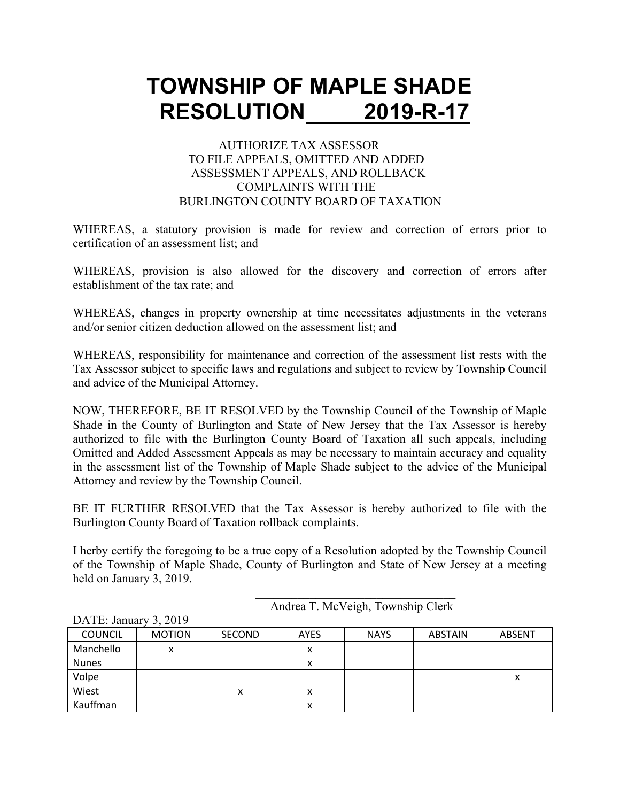#### AUTHORIZE TAX ASSESSOR TO FILE APPEALS, OMITTED AND ADDED ASSESSMENT APPEALS, AND ROLLBACK COMPLAINTS WITH THE BURLINGTON COUNTY BOARD OF TAXATION

WHEREAS, a statutory provision is made for review and correction of errors prior to certification of an assessment list; and

WHEREAS, provision is also allowed for the discovery and correction of errors after establishment of the tax rate; and

WHEREAS, changes in property ownership at time necessitates adjustments in the veterans and/or senior citizen deduction allowed on the assessment list; and

WHEREAS, responsibility for maintenance and correction of the assessment list rests with the Tax Assessor subject to specific laws and regulations and subject to review by Township Council and advice of the Municipal Attorney.

NOW, THEREFORE, BE IT RESOLVED by the Township Council of the Township of Maple Shade in the County of Burlington and State of New Jersey that the Tax Assessor is hereby authorized to file with the Burlington County Board of Taxation all such appeals, including Omitted and Added Assessment Appeals as may be necessary to maintain accuracy and equality in the assessment list of the Township of Maple Shade subject to the advice of the Municipal Attorney and review by the Township Council.

BE IT FURTHER RESOLVED that the Tax Assessor is hereby authorized to file with the Burlington County Board of Taxation rollback complaints.

I herby certify the foregoing to be a true copy of a Resolution adopted by the Township Council of the Township of Maple Shade, County of Burlington and State of New Jersey at a meeting held on January 3, 2019.

| Andrea T. McVeigh, Township Clerk |  |
|-----------------------------------|--|

| $D$ $\iota$ $\iota$ $L$ $\iota$ , $\upsilon$ $\mu$ $\iota$ $\mu$ $\mu$ , $\upsilon$ | $J$ , $\sim$ $J$ |               |             |             |                |               |
|-------------------------------------------------------------------------------------|------------------|---------------|-------------|-------------|----------------|---------------|
| <b>COUNCIL</b>                                                                      | <b>MOTION</b>    | <b>SECOND</b> | <b>AYES</b> | <b>NAYS</b> | <b>ABSTAIN</b> | <b>ABSENT</b> |
| Manchello                                                                           | Λ                |               | v<br>Λ      |             |                |               |
| <b>Nunes</b>                                                                        |                  |               | v           |             |                |               |
| Volpe                                                                               |                  |               |             |             |                |               |
| Wiest                                                                               |                  | x             | x           |             |                |               |
| Kauffman                                                                            |                  |               | x           |             |                |               |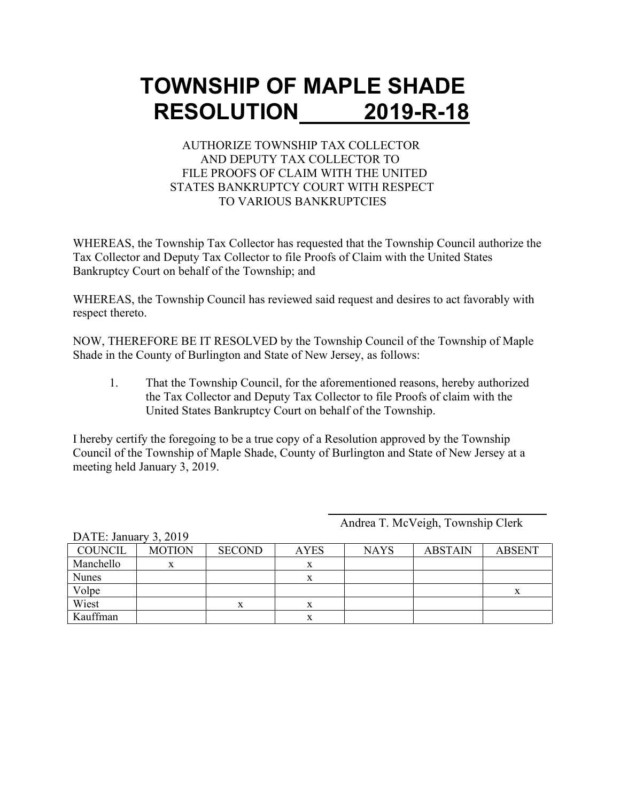#### AUTHORIZE TOWNSHIP TAX COLLECTOR AND DEPUTY TAX COLLECTOR TO FILE PROOFS OF CLAIM WITH THE UNITED STATES BANKRUPTCY COURT WITH RESPECT TO VARIOUS BANKRUPTCIES

WHEREAS, the Township Tax Collector has requested that the Township Council authorize the Tax Collector and Deputy Tax Collector to file Proofs of Claim with the United States Bankruptcy Court on behalf of the Township; and

WHEREAS, the Township Council has reviewed said request and desires to act favorably with respect thereto.

NOW, THEREFORE BE IT RESOLVED by the Township Council of the Township of Maple Shade in the County of Burlington and State of New Jersey, as follows:

1. That the Township Council, for the aforementioned reasons, hereby authorized the Tax Collector and Deputy Tax Collector to file Proofs of claim with the United States Bankruptcy Court on behalf of the Township.

I hereby certify the foregoing to be a true copy of a Resolution approved by the Township Council of the Township of Maple Shade, County of Burlington and State of New Jersey at a meeting held January 3, 2019.

Andrea T. McVeigh, Township Clerk

| <b>COUNCIL</b> | <b>MOTION</b> | <b>SECOND</b> | <b>AYES</b> | <b>NAYS</b> | <b>ABSTAIN</b> | <b>ABSENT</b> |
|----------------|---------------|---------------|-------------|-------------|----------------|---------------|
| Manchello      |               |               |             |             |                |               |
| <b>Nunes</b>   |               |               |             |             |                |               |
| Volpe          |               |               |             |             |                |               |
| Wiest          |               |               |             |             |                |               |
| Kauffman       |               |               |             |             |                |               |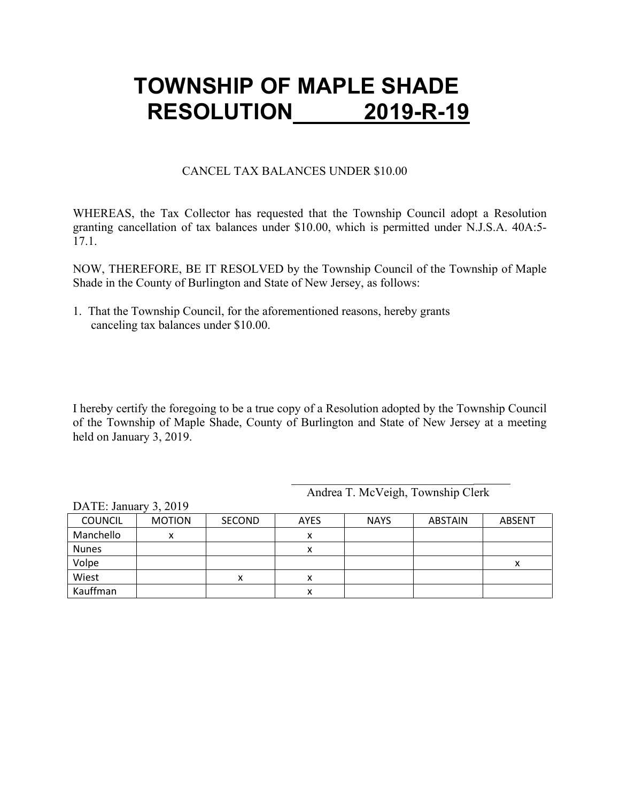#### CANCEL TAX BALANCES UNDER \$10.00

WHEREAS, the Tax Collector has requested that the Township Council adopt a Resolution granting cancellation of tax balances under \$10.00, which is permitted under N.J.S.A. 40A:5- 17.1.

NOW, THEREFORE, BE IT RESOLVED by the Township Council of the Township of Maple Shade in the County of Burlington and State of New Jersey, as follows:

1. That the Township Council, for the aforementioned reasons, hereby grants canceling tax balances under \$10.00.

I hereby certify the foregoing to be a true copy of a Resolution adopted by the Township Council of the Township of Maple Shade, County of Burlington and State of New Jersey at a meeting held on January 3, 2019.

Andrea T. McVeigh, Township Clerk

\_\_\_\_\_\_\_\_\_\_\_\_\_\_\_\_\_\_\_\_\_\_\_\_\_\_\_\_\_\_

|                | 7.4017        |               |             |             |                |               |
|----------------|---------------|---------------|-------------|-------------|----------------|---------------|
| <b>COUNCIL</b> | <b>MOTION</b> | <b>SECOND</b> | <b>AYES</b> | <b>NAYS</b> | <b>ABSTAIN</b> | <b>ABSENT</b> |
| Manchello      | Λ             |               | ́           |             |                |               |
| <b>Nunes</b>   |               |               | ́           |             |                |               |
| Volpe          |               |               |             |             |                | Λ             |
| Wiest          |               | ́             | ́           |             |                |               |
| Kauffman       |               |               | ́           |             |                |               |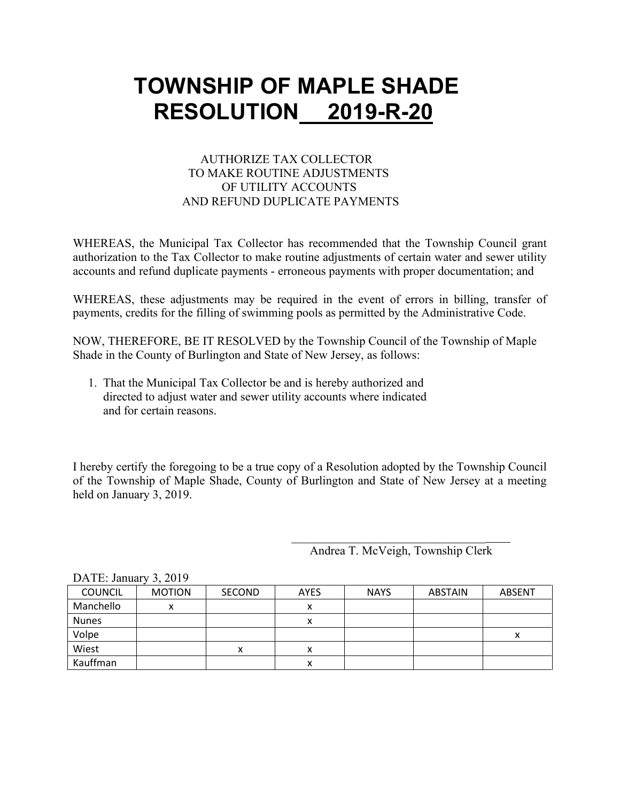#### AUTHORIZE TAX COLLECTOR TO MAKE ROUTINE ADJUSTMENTS OF UTILITY ACCOUNTS AND REFUND DUPLICATE PAYMENTS

WHEREAS, the Municipal Tax Collector has recommended that the Township Council grant authorization to the Tax Collector to make routine adjustments of certain water and sewer utility accounts and refund duplicate payments - erroneous payments with proper documentation; and

WHEREAS, these adjustments may be required in the event of errors in billing, transfer of payments, credits for the filling of swimming pools as permitted by the Administrative Code.

NOW, THEREFORE, BE IT RESOLVED by the Township Council of the Township of Maple Shade in the County of Burlington and State of New Jersey, as follows:

 1. That the Municipal Tax Collector be and is hereby authorized and directed to adjust water and sewer utility accounts where indicated and for certain reasons.

I hereby certify the foregoing to be a true copy of a Resolution adopted by the Township Council of the Township of Maple Shade, County of Burlington and State of New Jersey at a meeting held on January 3, 2019.

Andrea T. McVeigh, Township Clerk

| DATE. January 5, 2019 |               |               |             |             |                |               |
|-----------------------|---------------|---------------|-------------|-------------|----------------|---------------|
| <b>COUNCIL</b>        | <b>MOTION</b> | <b>SECOND</b> | <b>AYES</b> | <b>NAYS</b> | <b>ABSTAIN</b> | <b>ABSENT</b> |
| Manchello             | x             |               | x           |             |                |               |
| <b>Nunes</b>          |               |               | ⋏           |             |                |               |
| Volpe                 |               |               |             |             |                |               |
| Wiest                 |               | х             | х           |             |                |               |
| Kauffman              |               |               | х           |             |                |               |

 $\Gamma$ ATE: January 2, 2010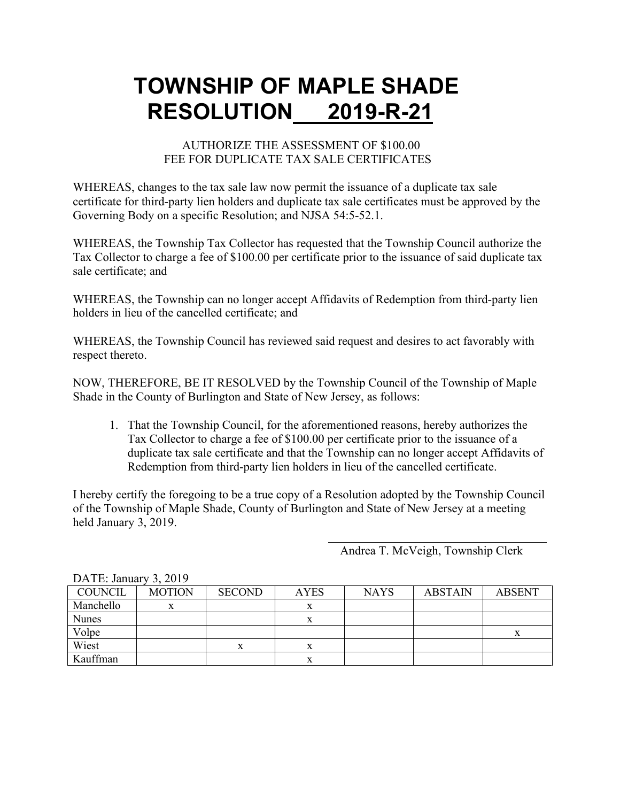### AUTHORIZE THE ASSESSMENT OF \$100.00 FEE FOR DUPLICATE TAX SALE CERTIFICATES

WHEREAS, changes to the tax sale law now permit the issuance of a duplicate tax sale certificate for third-party lien holders and duplicate tax sale certificates must be approved by the Governing Body on a specific Resolution; and NJSA 54:5-52.1.

WHEREAS, the Township Tax Collector has requested that the Township Council authorize the Tax Collector to charge a fee of \$100.00 per certificate prior to the issuance of said duplicate tax sale certificate; and

WHEREAS, the Township can no longer accept Affidavits of Redemption from third-party lien holders in lieu of the cancelled certificate; and

WHEREAS, the Township Council has reviewed said request and desires to act favorably with respect thereto.

NOW, THEREFORE, BE IT RESOLVED by the Township Council of the Township of Maple Shade in the County of Burlington and State of New Jersey, as follows:

1. That the Township Council, for the aforementioned reasons, hereby authorizes the Tax Collector to charge a fee of \$100.00 per certificate prior to the issuance of a duplicate tax sale certificate and that the Township can no longer accept Affidavits of Redemption from third-party lien holders in lieu of the cancelled certificate.

I hereby certify the foregoing to be a true copy of a Resolution adopted by the Township Council of the Township of Maple Shade, County of Burlington and State of New Jersey at a meeting held January 3, 2019.

Andrea T. McVeigh, Township Clerk

| DATE. Jailualy 3, $\angle$ 019 |               |               |             |             |                |               |
|--------------------------------|---------------|---------------|-------------|-------------|----------------|---------------|
| <b>COUNCIL</b>                 | <b>MOTION</b> | <b>SECOND</b> | <b>AYES</b> | <b>NAYS</b> | <b>ABSTAIN</b> | <b>ABSENT</b> |
| Manchello                      |               |               | л           |             |                |               |
| <b>Nunes</b>                   |               |               |             |             |                |               |
| Volpe                          |               |               |             |             |                | x             |
| Wiest                          |               |               | л           |             |                |               |
| Kauffman                       |               |               |             |             |                |               |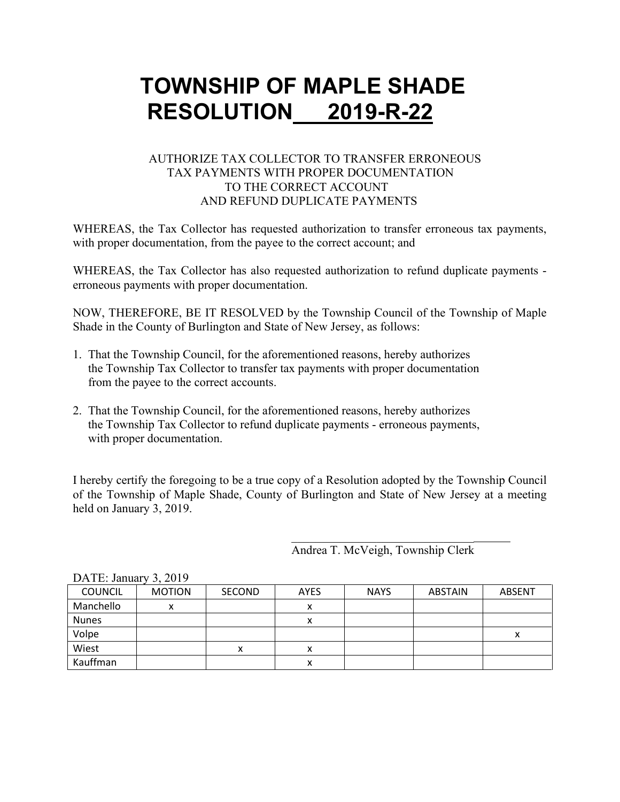### AUTHORIZE TAX COLLECTOR TO TRANSFER ERRONEOUS TAX PAYMENTS WITH PROPER DOCUMENTATION TO THE CORRECT ACCOUNT AND REFUND DUPLICATE PAYMENTS

WHEREAS, the Tax Collector has requested authorization to transfer erroneous tax payments, with proper documentation, from the payee to the correct account; and

WHEREAS, the Tax Collector has also requested authorization to refund duplicate payments erroneous payments with proper documentation.

NOW, THEREFORE, BE IT RESOLVED by the Township Council of the Township of Maple Shade in the County of Burlington and State of New Jersey, as follows:

- 1. That the Township Council, for the aforementioned reasons, hereby authorizes the Township Tax Collector to transfer tax payments with proper documentation from the payee to the correct accounts.
- 2. That the Township Council, for the aforementioned reasons, hereby authorizes the Township Tax Collector to refund duplicate payments - erroneous payments, with proper documentation.

I hereby certify the foregoing to be a true copy of a Resolution adopted by the Township Council of the Township of Maple Shade, County of Burlington and State of New Jersey at a meeting held on January 3, 2019.

> \_\_\_\_\_\_\_\_\_\_\_\_\_\_\_\_\_\_\_\_\_\_\_\_\_\_\_\_\_\_ Andrea T. McVeigh, Township Clerk

| DATE: January $3, 2019$ |               |               |             |             |         |        |
|-------------------------|---------------|---------------|-------------|-------------|---------|--------|
| <b>COUNCIL</b>          | <b>MOTION</b> | <b>SECOND</b> | <b>AYES</b> | <b>NAYS</b> | ABSTAIN | ABSENT |
| Manchello               | x             |               | x           |             |         |        |
| <b>Nunes</b>            |               |               | x           |             |         |        |
| Volpe                   |               |               |             |             |         |        |
| Wiest                   |               | х             | х           |             |         |        |
| Kauffman                |               |               | Λ           |             |         |        |